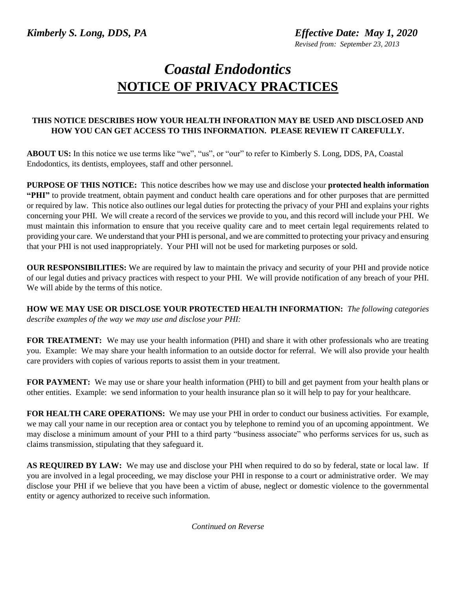*Revised from: September 23, 2013*

## *Coastal Endodontics* **NOTICE OF PRIVACY PRACTICES**

## **THIS NOTICE DESCRIBES HOW YOUR HEALTH INFORATION MAY BE USED AND DISCLOSED AND HOW YOU CAN GET ACCESS TO THIS INFORMATION. PLEASE REVIEW IT CAREFULLY.**

**ABOUT US:** In this notice we use terms like "we", "us", or "our" to refer to Kimberly S. Long, DDS, PA, Coastal Endodontics, its dentists, employees, staff and other personnel.

**PURPOSE OF THIS NOTICE:** This notice describes how we may use and disclose your **protected health information "PHI"** to provide treatment, obtain payment and conduct health care operations and for other purposes that are permitted or required by law. This notice also outlines our legal duties for protecting the privacy of your PHI and explains your rights concerning your PHI. We will create a record of the services we provide to you, and this record will include your PHI. We must maintain this information to ensure that you receive quality care and to meet certain legal requirements related to providing your care. We understand that your PHI is personal, and we are committed to protecting your privacy and ensuring that your PHI is not used inappropriately. Your PHI will not be used for marketing purposes or sold.

**OUR RESPONSIBILITIES:** We are required by law to maintain the privacy and security of your PHI and provide notice of our legal duties and privacy practices with respect to your PHI. We will provide notification of any breach of your PHI. We will abide by the terms of this notice.

**HOW WE MAY USE OR DISCLOSE YOUR PROTECTED HEALTH INFORMATION:** *The following categories describe examples of the way we may use and disclose your PHI:*

**FOR TREATMENT:** We may use your health information (PHI) and share it with other professionals who are treating you. Example: We may share your health information to an outside doctor for referral. We will also provide your health care providers with copies of various reports to assist them in your treatment.

**FOR PAYMENT:** We may use or share your health information (PHI) to bill and get payment from your health plans or other entities. Example: we send information to your health insurance plan so it will help to pay for your healthcare.

**FOR HEALTH CARE OPERATIONS:** We may use your PHI in order to conduct our business activities. For example, we may call your name in our reception area or contact you by telephone to remind you of an upcoming appointment. We may disclose a minimum amount of your PHI to a third party "business associate" who performs services for us, such as claims transmission, stipulating that they safeguard it.

**AS REQUIRED BY LAW:** We may use and disclose your PHI when required to do so by federal, state or local law. If you are involved in a legal proceeding, we may disclose your PHI in response to a court or administrative order. We may disclose your PHI if we believe that you have been a victim of abuse, neglect or domestic violence to the governmental entity or agency authorized to receive such information.

*Continued on Reverse*